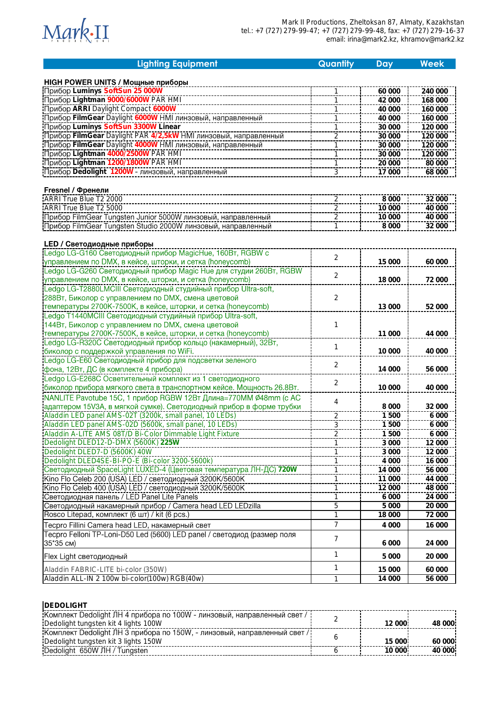

| <b>HIGH POWER UNITS / Мощные приборы</b><br>Прибор Luminys SoftSun 25 000W<br>240 000<br>60 000<br> Прибор Lightman 9000/6000W PAR HMI<br> Прибор ARRI Daylight Compact 6000W<br>42 000<br>168 000<br>40 000<br>160 000<br>Прибор FilmGear Daylight 6000W НМІ линзовый, направленный<br>40 000<br>160 000 | 120 000 |
|-----------------------------------------------------------------------------------------------------------------------------------------------------------------------------------------------------------------------------------------------------------------------------------------------------------|---------|
|                                                                                                                                                                                                                                                                                                           |         |
|                                                                                                                                                                                                                                                                                                           |         |
|                                                                                                                                                                                                                                                                                                           |         |
|                                                                                                                                                                                                                                                                                                           |         |
|                                                                                                                                                                                                                                                                                                           |         |
| Прибор Luminys SoftSun 3300W Linear<br>30 000                                                                                                                                                                                                                                                             |         |
| : Прибор FilmGear Daylight PAR 4/2,5kW НМI линзовый, направленный<br>30 000<br>120 000<br>2                                                                                                                                                                                                               |         |
| :Прибор FilmGear Daylight 4000W НМГлинзовый, направленный<br>:Прибор Lightman 4000/2500W РАК НМГ<br>30 000<br>120 000                                                                                                                                                                                     |         |
| 30 000<br>120 000                                                                                                                                                                                                                                                                                         |         |
| Прибор Lightman 1200/1800W PAR HMI<br>20 000<br>80 000                                                                                                                                                                                                                                                    |         |
| $\overline{3}$<br>:Прибор Dedolight_1200W - линзовый, направленный<br>17 000<br>68 000                                                                                                                                                                                                                    |         |
|                                                                                                                                                                                                                                                                                                           |         |
| Fresnel / Френели                                                                                                                                                                                                                                                                                         |         |
| <b>ARRI True Blue T2 2000</b><br>32 000<br>8 0 0 0<br>$\frac{2}{2}$                                                                                                                                                                                                                                       |         |
| ARRI True Blue T2 5000<br>10 000<br>40 000                                                                                                                                                                                                                                                                |         |
| 10 000<br>40 000<br>2                                                                                                                                                                                                                                                                                     |         |
| :Прибор FilmGear Tungsten Studio 2000W линзовый, направленный<br>8 0 0 0<br>32 000                                                                                                                                                                                                                        |         |
| <b>LED / Светодиодные приборы</b>                                                                                                                                                                                                                                                                         |         |
|                                                                                                                                                                                                                                                                                                           |         |
| $\overline{2}$<br>управлением по DMX, в кейсе, шторки, и сетка (honeycomb)<br>15 000<br>60 000                                                                                                                                                                                                            |         |
| Ledgo LG-G260 Светодиодный прибор Magic Hue для студии 260Bт, RGBW                                                                                                                                                                                                                                        |         |
| $\overline{2}$<br>управлением по DMX, в кейсе, шторки, и сетка (honeycomb)<br>18 000<br>72 000                                                                                                                                                                                                            |         |
| .<br> Ledgo LG-T2880LMCIII Светодиодный студийный прибор Ultra-soft,                                                                                                                                                                                                                                      |         |
| 288Вт, Биколор с управлением по DMX, смена цветовой<br>2                                                                                                                                                                                                                                                  |         |
| температуры 2700K-7500K, в кейсе, шторки, и сетка (honeycomb)<br>13 000<br>52 000                                                                                                                                                                                                                         |         |
| Ledgo T1440MCIII Светодиодный студийный прибор Ultra-soft,                                                                                                                                                                                                                                                |         |
| 144Вт, Биколор с управлением по DMX, смена цветовой<br>1                                                                                                                                                                                                                                                  |         |
| температуры 2700K-7500K, в кейсе, шторки, и сетка (honeycomb)<br>11 000<br>44 000                                                                                                                                                                                                                         |         |
| Ledgo LG-R320C Светодиодный прибор кольцо (накамерный), 32Вт,<br>1                                                                                                                                                                                                                                        |         |
| биколор с поддержкой управления по WiFi.<br>10 000<br>40 000                                                                                                                                                                                                                                              |         |
| Ledgo LG-E60 Светодиодный прибор для подсветки зеленого<br>2                                                                                                                                                                                                                                              |         |
| фона, 12Вт, ДС (в комплекте 4 прибора)<br>14 000<br>56 000                                                                                                                                                                                                                                                |         |
| Ledgo LG-E268C Осветительный комплект из 1 светодиодного<br>2                                                                                                                                                                                                                                             |         |
| биколор прибора мягкого света в транспортном кейсе. Мощность 26.8Вт.<br>10 000<br>40 000                                                                                                                                                                                                                  |         |
| NANLITE Pavotube 15С, 1 прибор RGBW 12Вт Длина=770ММ Ø48mm (с AC<br>4                                                                                                                                                                                                                                     |         |
| адаптером 15V3A, в мягкой сумке). Светодиодный прибор в форме трубки<br>8 0 0 0<br>32 000                                                                                                                                                                                                                 |         |
| Aladdin LED panel AMS-02T (3200k, small panel, 10 LEDs)<br>1500<br>$rac{2}{3}$                                                                                                                                                                                                                            | 6 0 0 0 |
| Aladdin LED panel AMS-02D (5600k, small panel, 10 LEDs)<br>1500                                                                                                                                                                                                                                           | 6 0 0 0 |
| Aladdin A-LITE AMS 08T/D Bi-Color Dimmable Light Fixture<br>1500<br>2<br>Dedolight DLED12-D-DMX (5600K) 225W<br>3 0 0 0<br>12 000                                                                                                                                                                         | 6 000   |
| Dedolight DLED7-D (5600K) 40W<br>3 000<br>12 000                                                                                                                                                                                                                                                          |         |
| 4 0 0 0<br>Dedolight DLED4SE-BI-PO-E (Bi-color 3200-5600k)<br>16 000<br>1                                                                                                                                                                                                                                 |         |
| Светодиодный SpaceLight LUXED-4 (Цветовая температура ЛН-ДС) 720W<br>14 000<br>56 000<br>1                                                                                                                                                                                                                |         |
| Кіпо Flo Celeb 200 (USA) LED / светодиодный 3200К/5600К                                                                                                                                                                                                                                                   |         |
| 11 000<br>44 000<br>:<br>:Kino Flo Celeb 400 (USA) LED / светодиодный 3200K/5600K<br>12 000                                                                                                                                                                                                               | 48 000  |
| 1<br>24 000<br>Светодиодная панель / LED Panel Lite Panels<br>1<br>6 0 0 0                                                                                                                                                                                                                                |         |
| Светодиодный накамерный прибор / Camera head LED LEDzilla<br>5<br>5 0 0 0<br>20 000                                                                                                                                                                                                                       |         |
| Rosco Litepad, комплект (6 шт) / kit (6 pcs.)<br>18 000<br>72 000<br>1                                                                                                                                                                                                                                    |         |
|                                                                                                                                                                                                                                                                                                           |         |
| $\overline{7}$<br>Tecpro Fillini Camera head LED, накамерный свет<br>4 0 0 0<br>16 000                                                                                                                                                                                                                    |         |
| Tecpro Felloni TP-Loni-D50 Led (5600) LED panel / светодиод (размер поля<br>7<br>35*35 CM)                                                                                                                                                                                                                |         |
| 24 000<br>6 0 0 0                                                                                                                                                                                                                                                                                         |         |
| 1<br>Flex Light светодиодный<br>5 0 0 0<br>20 000                                                                                                                                                                                                                                                         |         |
| 1<br>Aladdin FABRIC-LITE bi-color (350W)<br>15 000<br>60 000                                                                                                                                                                                                                                              |         |
| Aladdin ALL-IN 2 100w bi-color(100w) RGB(40w)<br>14 000<br>56 000                                                                                                                                                                                                                                         |         |

| <b>DEDOLIGHT</b>                                                                                                   |        |         |
|--------------------------------------------------------------------------------------------------------------------|--------|---------|
| Комплект Dedolight ЛН 4 прибора по 100W - линзовый, направленный свет /<br>Dedolight tungsten kit 4 lights 100W    | 12,000 | 48.000. |
| Комплект Dedolight ЛН 3 прибора по 150W, - линзовый, направленный свет / !<br>Dedolight tungsten kit 3 lights 150W | 15,000 | 60 000  |
| Dedolight 650W JH / Tungsten                                                                                       | 10.000 | 40,000  |